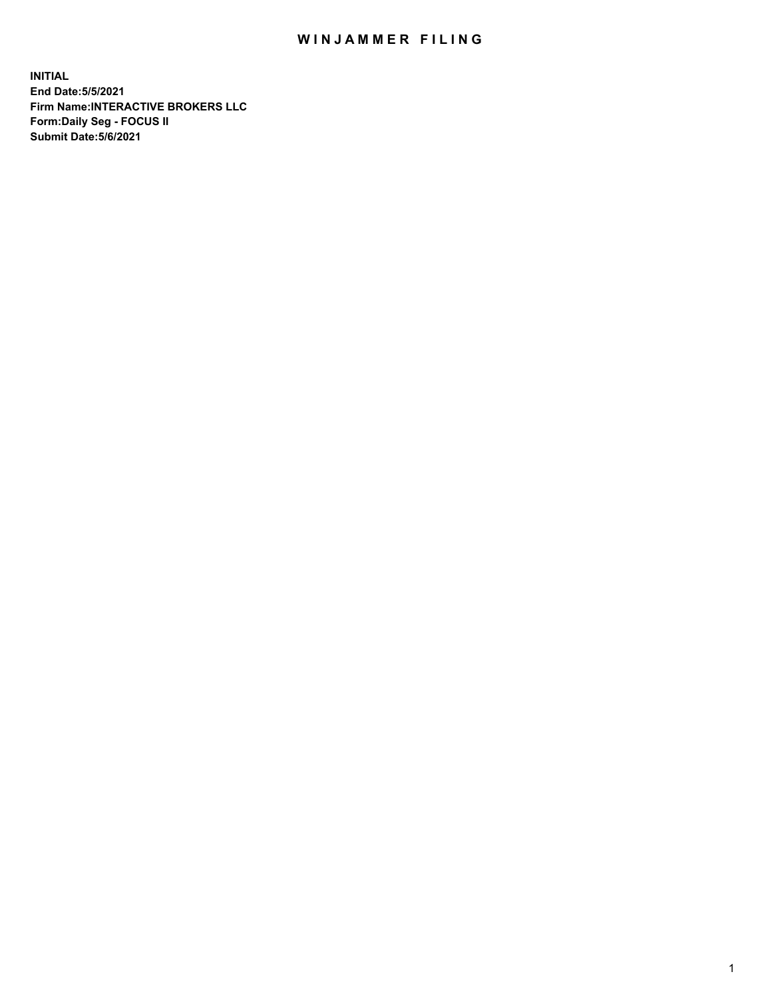## WIN JAMMER FILING

**INITIAL End Date:5/5/2021 Firm Name:INTERACTIVE BROKERS LLC Form:Daily Seg - FOCUS II Submit Date:5/6/2021**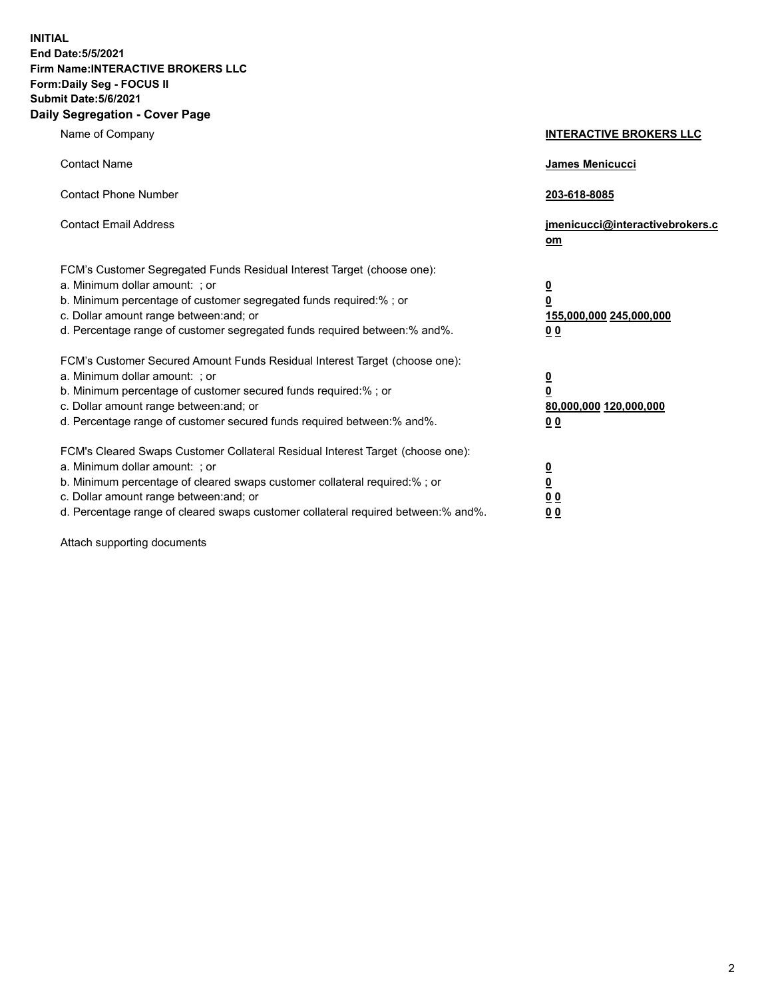**INITIAL End Date:5/5/2021 Firm Name:INTERACTIVE BROKERS LLC Form:Daily Seg - FOCUS II Submit Date:5/6/2021 Daily Segregation - Cover Page**

| Name of Company                                                                                                                                                                                                                                                                                                                | <b>INTERACTIVE BROKERS LLC</b>                                                                  |
|--------------------------------------------------------------------------------------------------------------------------------------------------------------------------------------------------------------------------------------------------------------------------------------------------------------------------------|-------------------------------------------------------------------------------------------------|
| <b>Contact Name</b>                                                                                                                                                                                                                                                                                                            | <b>James Menicucci</b>                                                                          |
| <b>Contact Phone Number</b>                                                                                                                                                                                                                                                                                                    | 203-618-8085                                                                                    |
| <b>Contact Email Address</b>                                                                                                                                                                                                                                                                                                   | jmenicucci@interactivebrokers.c<br>om                                                           |
| FCM's Customer Segregated Funds Residual Interest Target (choose one):<br>a. Minimum dollar amount: ; or<br>b. Minimum percentage of customer segregated funds required:%; or<br>c. Dollar amount range between: and; or<br>d. Percentage range of customer segregated funds required between:% and%.                          | $\overline{\mathbf{0}}$<br>$\overline{\mathbf{0}}$<br>155,000,000 245,000,000<br>0 <sub>0</sub> |
| FCM's Customer Secured Amount Funds Residual Interest Target (choose one):<br>a. Minimum dollar amount: ; or<br>b. Minimum percentage of customer secured funds required:%; or<br>c. Dollar amount range between: and; or<br>d. Percentage range of customer secured funds required between:% and%.                            | $\overline{\mathbf{0}}$<br>$\overline{\mathbf{0}}$<br>80,000,000 120,000,000<br>0 <sub>0</sub>  |
| FCM's Cleared Swaps Customer Collateral Residual Interest Target (choose one):<br>a. Minimum dollar amount: ; or<br>b. Minimum percentage of cleared swaps customer collateral required:% ; or<br>c. Dollar amount range between: and; or<br>d. Percentage range of cleared swaps customer collateral required between:% and%. | $\overline{\mathbf{0}}$<br>$\overline{\mathbf{0}}$<br>0 <sub>0</sub><br>0 <sub>0</sub>          |

Attach supporting documents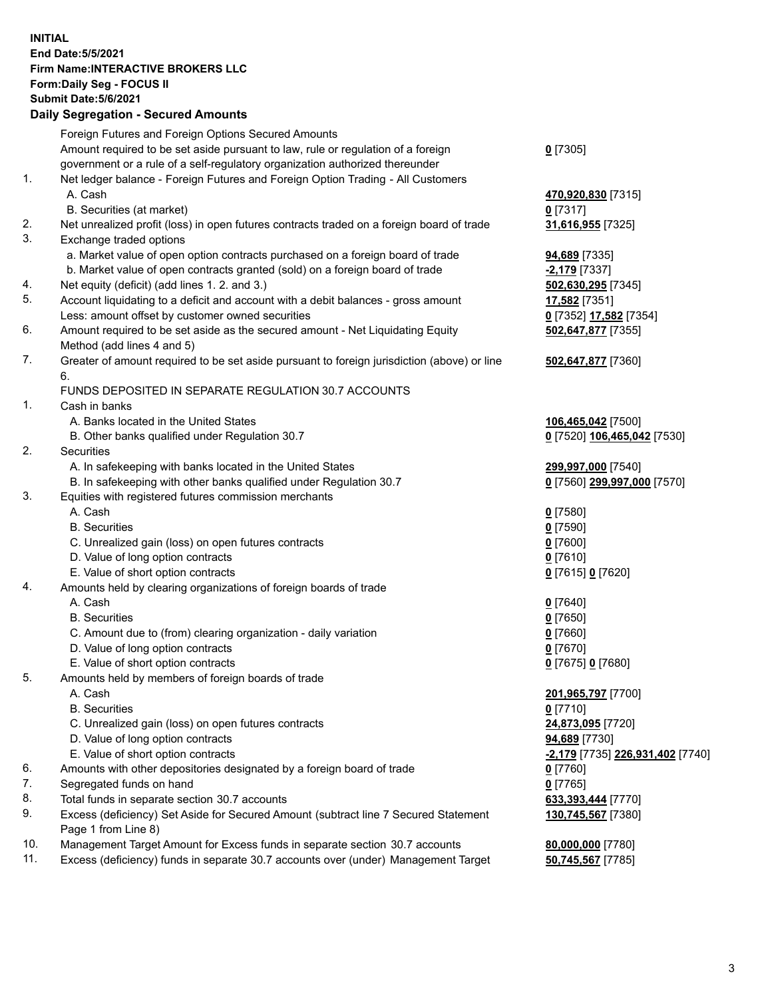## **INITIAL End Date:5/5/2021 Firm Name:INTERACTIVE BROKERS LLC Form:Daily Seg - FOCUS II Submit Date:5/6/2021 Daily Segregation - Secured Amounts**

|     | Foreign Futures and Foreign Options Secured Amounts                                               |                                                |
|-----|---------------------------------------------------------------------------------------------------|------------------------------------------------|
|     | Amount required to be set aside pursuant to law, rule or regulation of a foreign                  | $0$ [7305]                                     |
|     | government or a rule of a self-regulatory organization authorized thereunder                      |                                                |
| 1.  | Net ledger balance - Foreign Futures and Foreign Option Trading - All Customers                   |                                                |
|     | A. Cash                                                                                           | 470,920,830 [7315]                             |
|     | B. Securities (at market)                                                                         | $0$ [7317]                                     |
| 2.  | Net unrealized profit (loss) in open futures contracts traded on a foreign board of trade         | 31,616,955 [7325]                              |
| 3.  | Exchange traded options                                                                           |                                                |
|     | a. Market value of open option contracts purchased on a foreign board of trade                    | 94,689 [7335]                                  |
|     | b. Market value of open contracts granted (sold) on a foreign board of trade                      | -2,179 [7337]                                  |
| 4.  | Net equity (deficit) (add lines 1. 2. and 3.)                                                     | 502,630,295 [7345]                             |
| 5.  | Account liquidating to a deficit and account with a debit balances - gross amount                 | 17,582 [7351]                                  |
|     | Less: amount offset by customer owned securities                                                  | 0 [7352] 17,582 [7354]                         |
| 6.  | Amount required to be set aside as the secured amount - Net Liquidating Equity                    | 502,647,877 [7355]                             |
|     | Method (add lines 4 and 5)                                                                        |                                                |
| 7.  | Greater of amount required to be set aside pursuant to foreign jurisdiction (above) or line<br>6. | 502,647,877 [7360]                             |
|     | FUNDS DEPOSITED IN SEPARATE REGULATION 30.7 ACCOUNTS                                              |                                                |
| 1.  | Cash in banks                                                                                     |                                                |
|     | A. Banks located in the United States                                                             | 106,465,042 [7500]                             |
|     | B. Other banks qualified under Regulation 30.7                                                    | 0 [7520] 106,465,042 [7530]                    |
| 2.  | <b>Securities</b>                                                                                 |                                                |
|     | A. In safekeeping with banks located in the United States                                         | 299,997,000 [7540]                             |
|     | B. In safekeeping with other banks qualified under Regulation 30.7                                | 0 [7560] 299,997,000 [7570]                    |
| 3.  | Equities with registered futures commission merchants                                             |                                                |
|     | A. Cash                                                                                           | $0$ [7580]                                     |
|     | <b>B.</b> Securities                                                                              | $0$ [7590]                                     |
|     | C. Unrealized gain (loss) on open futures contracts                                               | $0$ [7600]                                     |
|     | D. Value of long option contracts                                                                 | $0$ [7610]                                     |
|     | E. Value of short option contracts                                                                | 0 [7615] 0 [7620]                              |
| 4.  | Amounts held by clearing organizations of foreign boards of trade                                 |                                                |
|     | A. Cash                                                                                           | $0$ [7640]                                     |
|     | <b>B.</b> Securities                                                                              | $0$ [7650]                                     |
|     | C. Amount due to (from) clearing organization - daily variation                                   | $0$ [7660]                                     |
|     | D. Value of long option contracts                                                                 | $0$ [7670]                                     |
|     | E. Value of short option contracts                                                                | 0 [7675] 0 [7680]                              |
| 5.  | Amounts held by members of foreign boards of trade                                                |                                                |
|     | A. Cash                                                                                           | 201,965,797 [7700]                             |
|     | <b>B.</b> Securities                                                                              | $0$ [7710]                                     |
|     | C. Unrealized gain (loss) on open futures contracts                                               | 24,873,095 [7720]                              |
|     | D. Value of long option contracts                                                                 | 94,689 [7730]                                  |
|     | E. Value of short option contracts                                                                | <u>-2,179</u> [7735] <u>226,931,402</u> [7740] |
| 6.  | Amounts with other depositories designated by a foreign board of trade                            | $0$ [7760]                                     |
| 7.  | Segregated funds on hand                                                                          | $0$ [7765]                                     |
| 8.  | Total funds in separate section 30.7 accounts                                                     | 633,393,444 [7770]                             |
| 9.  | Excess (deficiency) Set Aside for Secured Amount (subtract line 7 Secured Statement               | 130,745,567 [7380]                             |
|     | Page 1 from Line 8)                                                                               |                                                |
| 10. | Management Target Amount for Excess funds in separate section 30.7 accounts                       | 80,000,000 [7780]                              |
| 11. | Excess (deficiency) funds in separate 30.7 accounts over (under) Management Target                | 50,745,567 [7785]                              |
|     |                                                                                                   |                                                |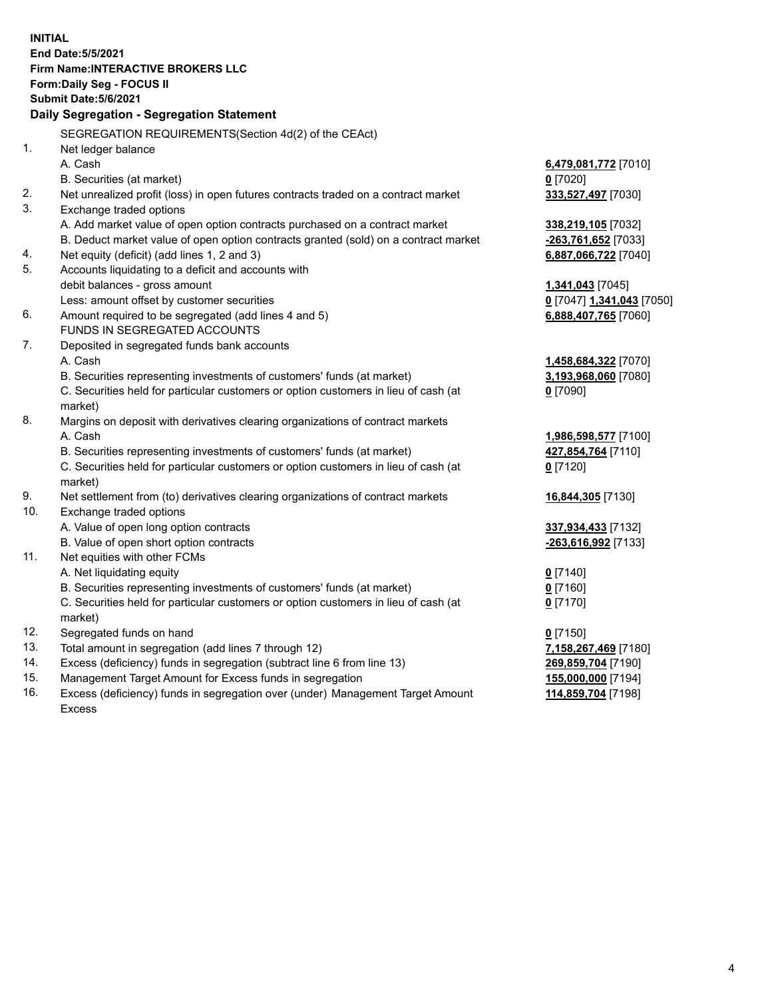**INITIAL End Date:5/5/2021 Firm Name:INTERACTIVE BROKERS LLC Form:Daily Seg - FOCUS II Submit Date:5/6/2021 Daily Segregation - Segregation Statement** SEGREGATION REQUIREMENTS(Section 4d(2) of the CEAct) 1. Net ledger balance A. Cash **6,479,081,772** [7010] B. Securities (at market) **0** [7020] 2. Net unrealized profit (loss) in open futures contracts traded on a contract market **333,527,497** [7030] 3. Exchange traded options A. Add market value of open option contracts purchased on a contract market **338,219,105** [7032] B. Deduct market value of open option contracts granted (sold) on a contract market **-263,761,652** [7033] 4. Net equity (deficit) (add lines 1, 2 and 3) **6,887,066,722** [7040] 5. Accounts liquidating to a deficit and accounts with debit balances - gross amount **1,341,043** [7045] Less: amount offset by customer securities **0** [7047] **1,341,043** [7050] 6. Amount required to be segregated (add lines 4 and 5) **6,888,407,765** [7060] FUNDS IN SEGREGATED ACCOUNTS 7. Deposited in segregated funds bank accounts A. Cash **1,458,684,322** [7070] B. Securities representing investments of customers' funds (at market) **3,193,968,060** [7080] C. Securities held for particular customers or option customers in lieu of cash (at market) **0** [7090] 8. Margins on deposit with derivatives clearing organizations of contract markets A. Cash **1,986,598,577** [7100] B. Securities representing investments of customers' funds (at market) **427,854,764** [7110] C. Securities held for particular customers or option customers in lieu of cash (at market) **0** [7120] 9. Net settlement from (to) derivatives clearing organizations of contract markets **16,844,305** [7130] 10. Exchange traded options A. Value of open long option contracts **337,934,433** [7132] B. Value of open short option contracts **-263,616,992** [7133] 11. Net equities with other FCMs A. Net liquidating equity **0** [7140] B. Securities representing investments of customers' funds (at market) **0** [7160] C. Securities held for particular customers or option customers in lieu of cash (at market) **0** [7170] 12. Segregated funds on hand **0** [7150] 13. Total amount in segregation (add lines 7 through 12) **7,158,267,469** [7180] 14. Excess (deficiency) funds in segregation (subtract line 6 from line 13) **269,859,704** [7190] 15. Management Target Amount for Excess funds in segregation **155,000,000** [7194] 16. Excess (deficiency) funds in segregation over (under) Management Target Amount Excess **114,859,704** [7198]